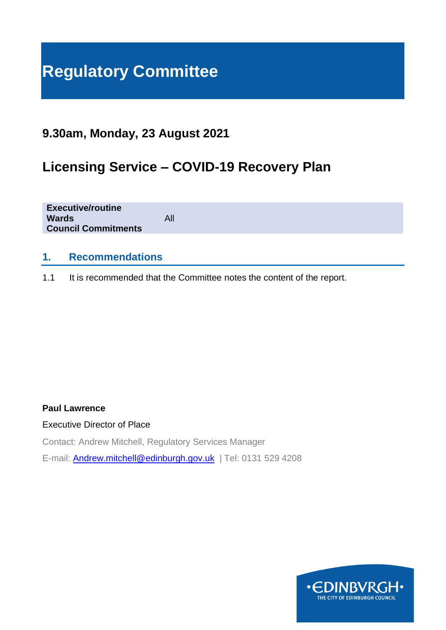# **Regulatory Committee**

# **9.30am, Monday, 23 August 2021**

# **Licensing Service – COVID-19 Recovery Plan**

| <b>Executive/routine</b><br><b>Wards</b><br><b>Council Commitments</b> | All |
|------------------------------------------------------------------------|-----|
|                                                                        |     |

#### **1. Recommendations**

1.1 It is recommended that the Committee notes the content of the report.

#### **Paul Lawrence**

Executive Director of Place

Contact: Andrew Mitchell, Regulatory Services Manager

E-mail: [Andrew.mitchell@edinburgh.gov.uk](mailto:Andrew.mitchell@edinburgh.gov.uk) | Tel: 0131 529 4208

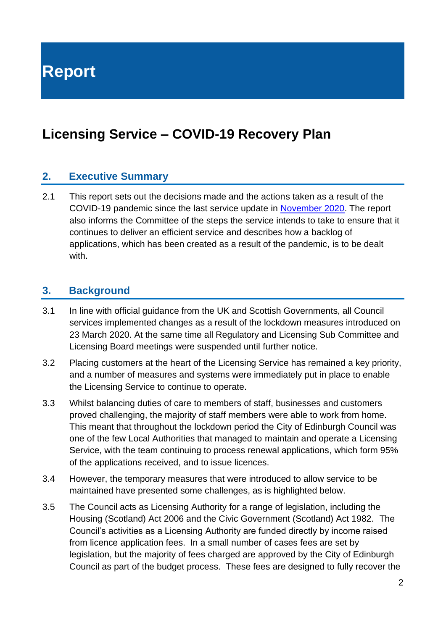**Report**

# **Licensing Service – COVID-19 Recovery Plan**

#### **2. Executive Summary**

2.1 This report sets out the decisions made and the actions taken as a result of the COVID-19 pandemic since the last service update in [November 2020.](https://democracy.edinburgh.gov.uk/documents/s28391/7.1%20-%20Coronavirus%20COVID-19%20Contingency%20Measures%20Update%20Report.pdf) The report also informs the Committee of the steps the service intends to take to ensure that it continues to deliver an efficient service and describes how a backlog of applications, which has been created as a result of the pandemic, is to be dealt with.

#### **3. Background**

- 3.1 In line with official guidance from the UK and Scottish Governments, all Council services implemented changes as a result of the lockdown measures introduced on 23 March 2020. At the same time all Regulatory and Licensing Sub Committee and Licensing Board meetings were suspended until further notice.
- 3.2 Placing customers at the heart of the Licensing Service has remained a key priority, and a number of measures and systems were immediately put in place to enable the Licensing Service to continue to operate.
- 3.3 Whilst balancing duties of care to members of staff, businesses and customers proved challenging, the majority of staff members were able to work from home. This meant that throughout the lockdown period the City of Edinburgh Council was one of the few Local Authorities that managed to maintain and operate a Licensing Service, with the team continuing to process renewal applications, which form 95% of the applications received, and to issue licences.
- 3.4 However, the temporary measures that were introduced to allow service to be maintained have presented some challenges, as is highlighted below.
- 3.5 The Council acts as Licensing Authority for a range of legislation, including the Housing (Scotland) Act 2006 and the Civic Government (Scotland) Act 1982. The Council's activities as a Licensing Authority are funded directly by income raised from licence application fees. In a small number of cases fees are set by legislation, but the majority of fees charged are approved by the City of Edinburgh Council as part of the budget process. These fees are designed to fully recover the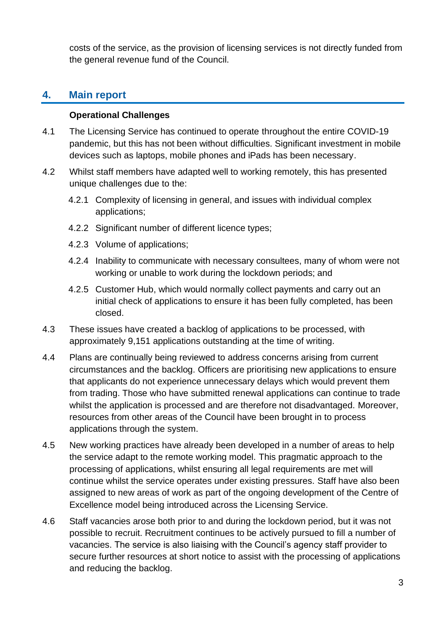costs of the service, as the provision of licensing services is not directly funded from the general revenue fund of the Council.

## **4. Main report**

#### **Operational Challenges**

- 4.1 The Licensing Service has continued to operate throughout the entire COVID-19 pandemic, but this has not been without difficulties. Significant investment in mobile devices such as laptops, mobile phones and iPads has been necessary.
- 4.2 Whilst staff members have adapted well to working remotely, this has presented unique challenges due to the:
	- 4.2.1 Complexity of licensing in general, and issues with individual complex applications;
	- 4.2.2 Significant number of different licence types;
	- 4.2.3 Volume of applications;
	- 4.2.4 Inability to communicate with necessary consultees, many of whom were not working or unable to work during the lockdown periods; and
	- 4.2.5 Customer Hub, which would normally collect payments and carry out an initial check of applications to ensure it has been fully completed, has been closed.
- 4.3 These issues have created a backlog of applications to be processed, with approximately 9,151 applications outstanding at the time of writing.
- 4.4 Plans are continually being reviewed to address concerns arising from current circumstances and the backlog. Officers are prioritising new applications to ensure that applicants do not experience unnecessary delays which would prevent them from trading. Those who have submitted renewal applications can continue to trade whilst the application is processed and are therefore not disadvantaged. Moreover, resources from other areas of the Council have been brought in to process applications through the system.
- 4.5 New working practices have already been developed in a number of areas to help the service adapt to the remote working model. This pragmatic approach to the processing of applications, whilst ensuring all legal requirements are met will continue whilst the service operates under existing pressures. Staff have also been assigned to new areas of work as part of the ongoing development of the Centre of Excellence model being introduced across the Licensing Service.
- 4.6 Staff vacancies arose both prior to and during the lockdown period, but it was not possible to recruit. Recruitment continues to be actively pursued to fill a number of vacancies. The service is also liaising with the Council's agency staff provider to secure further resources at short notice to assist with the processing of applications and reducing the backlog.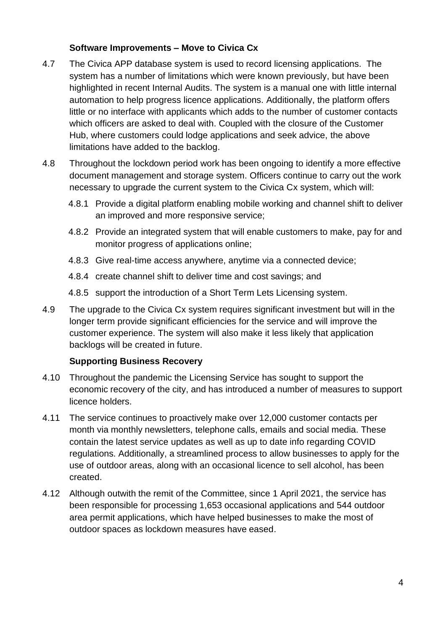#### **Software Improvements – Move to Civica Cx**

- 4.7 The Civica APP database system is used to record licensing applications. The system has a number of limitations which were known previously, but have been highlighted in recent Internal Audits. The system is a manual one with little internal automation to help progress licence applications. Additionally, the platform offers little or no interface with applicants which adds to the number of customer contacts which officers are asked to deal with. Coupled with the closure of the Customer Hub, where customers could lodge applications and seek advice, the above limitations have added to the backlog.
- 4.8 Throughout the lockdown period work has been ongoing to identify a more effective document management and storage system. Officers continue to carry out the work necessary to upgrade the current system to the Civica Cx system, which will:
	- 4.8.1 Provide a digital platform enabling mobile working and channel shift to deliver an improved and more responsive service;
	- 4.8.2 Provide an integrated system that will enable customers to make, pay for and monitor progress of applications online;
	- 4.8.3 Give real-time access anywhere, anytime via a connected device;
	- 4.8.4 create channel shift to deliver time and cost savings; and
	- 4.8.5 support the introduction of a Short Term Lets Licensing system.
- 4.9 The upgrade to the Civica Cx system requires significant investment but will in the longer term provide significant efficiencies for the service and will improve the customer experience. The system will also make it less likely that application backlogs will be created in future.

#### **Supporting Business Recovery**

- 4.10 Throughout the pandemic the Licensing Service has sought to support the economic recovery of the city, and has introduced a number of measures to support licence holders.
- 4.11 The service continues to proactively make over 12,000 customer contacts per month via monthly newsletters, telephone calls, emails and social media. These contain the latest service updates as well as up to date info regarding COVID regulations. Additionally, a streamlined process to allow businesses to apply for the use of outdoor areas, along with an occasional licence to sell alcohol, has been created.
- 4.12 Although outwith the remit of the Committee, since 1 April 2021, the service has been responsible for processing 1,653 occasional applications and 544 outdoor area permit applications, which have helped businesses to make the most of outdoor spaces as lockdown measures have eased.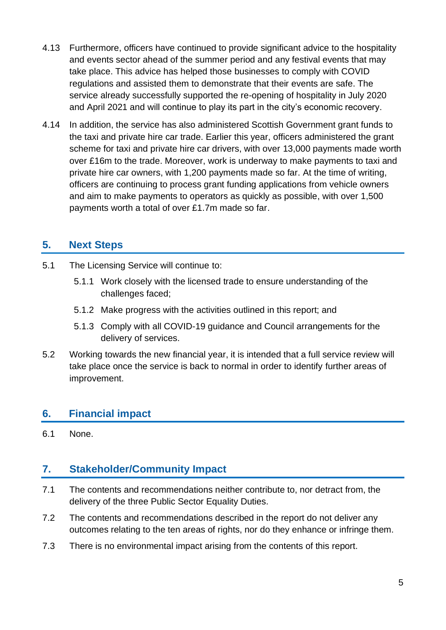- 4.13 Furthermore, officers have continued to provide significant advice to the hospitality and events sector ahead of the summer period and any festival events that may take place. This advice has helped those businesses to comply with COVID regulations and assisted them to demonstrate that their events are safe. The service already successfully supported the re-opening of hospitality in July 2020 and April 2021 and will continue to play its part in the city's economic recovery.
- 4.14 In addition, the service has also administered Scottish Government grant funds to the taxi and private hire car trade. Earlier this year, officers administered the grant scheme for taxi and private hire car drivers, with over 13,000 payments made worth over £16m to the trade. Moreover, work is underway to make payments to taxi and private hire car owners, with 1,200 payments made so far. At the time of writing, officers are continuing to process grant funding applications from vehicle owners and aim to make payments to operators as quickly as possible, with over 1,500 payments worth a total of over £1.7m made so far.

## **5. Next Steps**

- 5.1 The Licensing Service will continue to:
	- 5.1.1 Work closely with the licensed trade to ensure understanding of the challenges faced;
	- 5.1.2 Make progress with the activities outlined in this report; and
	- 5.1.3 Comply with all COVID-19 guidance and Council arrangements for the delivery of services.
- 5.2 Working towards the new financial year, it is intended that a full service review will take place once the service is back to normal in order to identify further areas of improvement.

## **6. Financial impact**

6.1 None.

#### **7. Stakeholder/Community Impact**

- 7.1 The contents and recommendations neither contribute to, nor detract from, the delivery of the three Public Sector Equality Duties.
- 7.2 The contents and recommendations described in the report do not deliver any outcomes relating to the ten areas of rights, nor do they enhance or infringe them.
- 7.3 There is no environmental impact arising from the contents of this report.